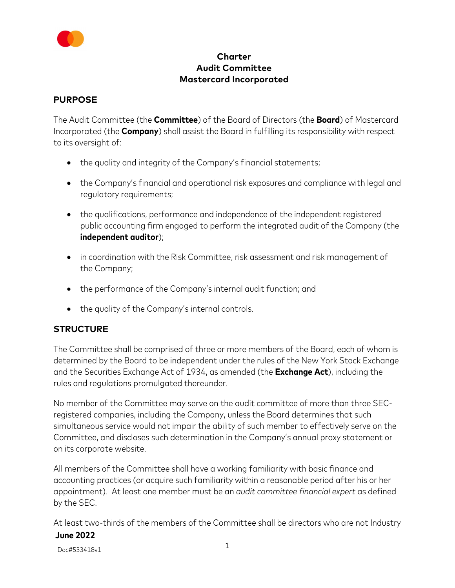

## **Charter Audit Committee Mastercard Incorporated**

## **PURPOSE**

The Audit Committee (the **Committee**) of the Board of Directors (the **Board**) of Mastercard Incorporated (the **Company**) shall assist the Board in fulfilling its responsibility with respect to its oversight of:

- the quality and integrity of the Company's financial statements;
- the Company's financial and operational risk exposures and compliance with legal and regulatory requirements;
- the qualifications, performance and independence of the independent registered public accounting firm engaged to perform the integrated audit of the Company (the **independent auditor**);
- in coordination with the Risk Committee, risk assessment and risk management of the Company;
- the performance of the Company's internal audit function; and
- the quality of the Company's internal controls.

## **STRUCTURE**

The Committee shall be comprised of three or more members of the Board, each of whom is determined by the Board to be independent under the rules of the New York Stock Exchange and the Securities Exchange Act of 1934, as amended (the **Exchange Act**), including the rules and regulations promulgated thereunder.

No member of the Committee may serve on the audit committee of more than three SECregistered companies, including the Company, unless the Board determines that such simultaneous service would not impair the ability of such member to effectively serve on the Committee, and discloses such determination in the Company's annual proxy statement or on its corporate website.

All members of the Committee shall have a working familiarity with basic finance and accounting practices (or acquire such familiarity within a reasonable period after his or her appointment). At least one member must be an *audit committee financial expert* as defined by the SEC.

**June 2022** At least two-thirds of the members of the Committee shall be directors who are not Industry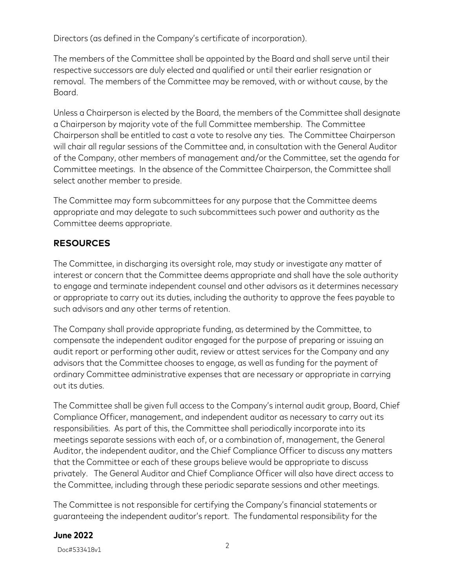Directors (as defined in the Company's certificate of incorporation).

The members of the Committee shall be appointed by the Board and shall serve until their respective successors are duly elected and qualified or until their earlier resignation or removal. The members of the Committee may be removed, with or without cause, by the Board.

Unless a Chairperson is elected by the Board, the members of the Committee shall designate a Chairperson by majority vote of the full Committee membership. The Committee Chairperson shall be entitled to cast a vote to resolve any ties. The Committee Chairperson will chair all regular sessions of the Committee and, in consultation with the General Auditor of the Company, other members of management and/or the Committee, set the agenda for Committee meetings. In the absence of the Committee Chairperson, the Committee shall select another member to preside.

The Committee may form subcommittees for any purpose that the Committee deems appropriate and may delegate to such subcommittees such power and authority as the Committee deems appropriate.

# **RESOURCES**

The Committee, in discharging its oversight role, may study or investigate any matter of interest or concern that the Committee deems appropriate and shall have the sole authority to engage and terminate independent counsel and other advisors as it determines necessary or appropriate to carry out its duties, including the authority to approve the fees payable to such advisors and any other terms of retention.

The Company shall provide appropriate funding, as determined by the Committee, to compensate the independent auditor engaged for the purpose of preparing or issuing an audit report or performing other audit, review or attest services for the Company and any advisors that the Committee chooses to engage, as well as funding for the payment of ordinary Committee administrative expenses that are necessary or appropriate in carrying out its duties.

The Committee shall be given full access to the Company's internal audit group, Board, Chief Compliance Officer, management, and independent auditor as necessary to carry out its responsibilities. As part of this, the Committee shall periodically incorporate into its meetings separate sessions with each of, or a combination of, management, the General Auditor, the independent auditor, and the Chief Compliance Officer to discuss any matters that the Committee or each of these groups believe would be appropriate to discuss privately. The General Auditor and Chief Compliance Officer will also have direct access to the Committee, including through these periodic separate sessions and other meetings.

The Committee is not responsible for certifying the Company's financial statements or guaranteeing the independent auditor's report. The fundamental responsibility for the

#### **June 2022**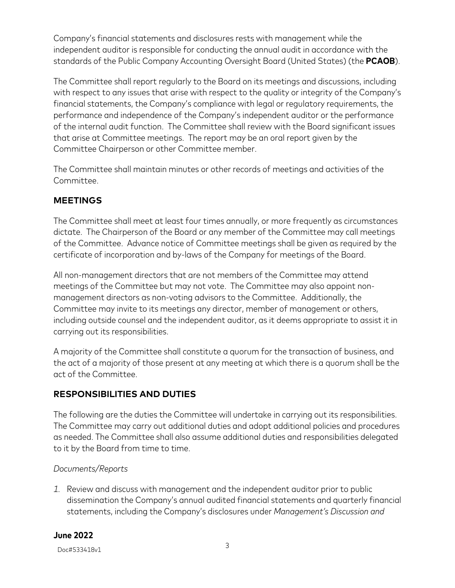Company's financial statements and disclosures rests with management while the independent auditor is responsible for conducting the annual audit in accordance with the standards of the Public Company Accounting Oversight Board (United States) (the **PCAOB**).

The Committee shall report regularly to the Board on its meetings and discussions, including with respect to any issues that arise with respect to the quality or integrity of the Company's financial statements, the Company's compliance with legal or regulatory requirements, the performance and independence of the Company's independent auditor or the performance of the internal audit function. The Committee shall review with the Board significant issues that arise at Committee meetings. The report may be an oral report given by the Committee Chairperson or other Committee member.

The Committee shall maintain minutes or other records of meetings and activities of the Committee.

## **MEETINGS**

The Committee shall meet at least four times annually, or more frequently as circumstances dictate. The Chairperson of the Board or any member of the Committee may call meetings of the Committee. Advance notice of Committee meetings shall be given as required by the certificate of incorporation and by-laws of the Company for meetings of the Board.

All non-management directors that are not members of the Committee may attend meetings of the Committee but may not vote. The Committee may also appoint nonmanagement directors as non-voting advisors to the Committee. Additionally, the Committee may invite to its meetings any director, member of management or others, including outside counsel and the independent auditor, as it deems appropriate to assist it in carrying out its responsibilities.

A majority of the Committee shall constitute a quorum for the transaction of business, and the act of a majority of those present at any meeting at which there is a quorum shall be the act of the Committee.

# **RESPONSIBILITIES AND DUTIES**

The following are the duties the Committee will undertake in carrying out its responsibilities. The Committee may carry out additional duties and adopt additional policies and procedures as needed. The Committee shall also assume additional duties and responsibilities delegated to it by the Board from time to time.

## *Documents/Reports*

*1.* Review and discuss with management and the independent auditor prior to public dissemination the Company's annual audited financial statements and quarterly financial statements, including the Company's disclosures under *Management's Discussion and* 

#### **June 2022**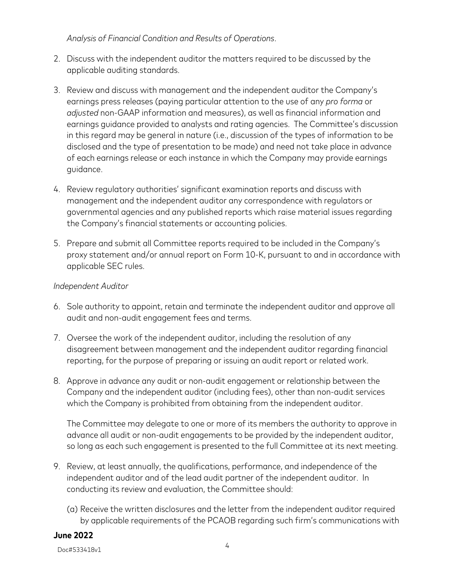*Analysis of Financial Condition and Results of Operations*.

- 2. Discuss with the independent auditor the matters required to be discussed by the applicable auditing standards.
- 3. Review and discuss with management and the independent auditor the Company's earnings press releases (paying particular attention to the use of any *pro forma* or *adjusted* non-GAAP information and measures), as well as financial information and earnings guidance provided to analysts and rating agencies. The Committee's discussion in this regard may be general in nature (i.e., discussion of the types of information to be disclosed and the type of presentation to be made) and need not take place in advance of each earnings release or each instance in which the Company may provide earnings guidance.
- 4. Review regulatory authorities' significant examination reports and discuss with management and the independent auditor any correspondence with regulators or governmental agencies and any published reports which raise material issues regarding the Company's financial statements or accounting policies.
- 5. Prepare and submit all Committee reports required to be included in the Company's proxy statement and/or annual report on Form 10-K, pursuant to and in accordance with applicable SEC rules.

#### *Independent Auditor*

- 6. Sole authority to appoint, retain and terminate the independent auditor and approve all audit and non-audit engagement fees and terms.
- 7. Oversee the work of the independent auditor, including the resolution of any disagreement between management and the independent auditor regarding financial reporting, for the purpose of preparing or issuing an audit report or related work.
- 8. Approve in advance any audit or non-audit engagement or relationship between the Company and the independent auditor (including fees), other than non-audit services which the Company is prohibited from obtaining from the independent auditor.

The Committee may delegate to one or more of its members the authority to approve in advance all audit or non-audit engagements to be provided by the independent auditor, so long as each such engagement is presented to the full Committee at its next meeting.

- 9. Review, at least annually, the qualifications, performance, and independence of the independent auditor and of the lead audit partner of the independent auditor. In conducting its review and evaluation, the Committee should:
	- (a) Receive the written disclosures and the letter from the independent auditor required by applicable requirements of the PCAOB regarding such firm's communications with

#### **June 2022**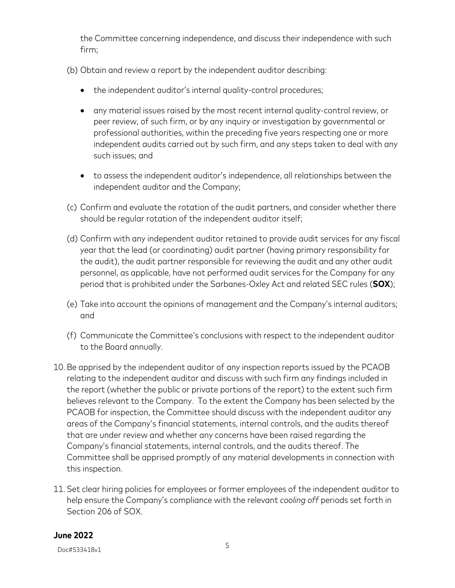the Committee concerning independence, and discuss their independence with such firm;

- (b) Obtain and review a report by the independent auditor describing:
	- the independent auditor's internal quality-control procedures;
	- any material issues raised by the most recent internal quality-control review, or peer review, of such firm, or by any inquiry or investigation by governmental or professional authorities, within the preceding five years respecting one or more independent audits carried out by such firm, and any steps taken to deal with any such issues; and
	- to assess the independent auditor's independence, all relationships between the independent auditor and the Company;
- (c) Confirm and evaluate the rotation of the audit partners, and consider whether there should be regular rotation of the independent auditor itself;
- (d) Confirm with any independent auditor retained to provide audit services for any fiscal year that the lead (or coordinating) audit partner (having primary responsibility for the audit), the audit partner responsible for reviewing the audit and any other audit personnel, as applicable, have not performed audit services for the Company for any period that is prohibited under the Sarbanes-Oxley Act and related SEC rules (**SOX**);
- (e) Take into account the opinions of management and the Company's internal auditors; and
- (f) Communicate the Committee's conclusions with respect to the independent auditor to the Board annually.
- 10. Be apprised by the independent auditor of any inspection reports issued by the PCAOB relating to the independent auditor and discuss with such firm any findings included in the report (whether the public or private portions of the report) to the extent such firm believes relevant to the Company. To the extent the Company has been selected by the PCAOB for inspection, the Committee should discuss with the independent auditor any areas of the Company's financial statements, internal controls, and the audits thereof that are under review and whether any concerns have been raised regarding the Company's financial statements, internal controls, and the audits thereof. The Committee shall be apprised promptly of any material developments in connection with this inspection.
- 11. Set clear hiring policies for employees or former employees of the independent auditor to help ensure the Company's compliance with the relevant *cooling off* periods set forth in Section 206 of SOX.

#### **June 2022**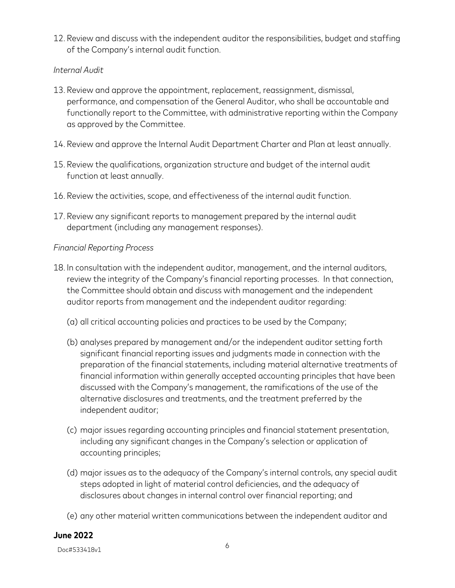12. Review and discuss with the independent auditor the responsibilities, budget and staffing of the Company's internal audit function.

### *Internal Audit*

- 13. Review and approve the appointment, replacement, reassignment, dismissal, performance, and compensation of the General Auditor, who shall be accountable and functionally report to the Committee, with administrative reporting within the Company as approved by the Committee.
- 14. Review and approve the Internal Audit Department Charter and Plan at least annually.
- 15. Review the qualifications, organization structure and budget of the internal audit function at least annually.
- 16. Review the activities, scope, and effectiveness of the internal audit function.
- 17. Review any significant reports to management prepared by the internal audit department (including any management responses).

### *Financial Reporting Process*

- 18. In consultation with the independent auditor, management, and the internal auditors, review the integrity of the Company's financial reporting processes. In that connection, the Committee should obtain and discuss with management and the independent auditor reports from management and the independent auditor regarding:
	- (a) all critical accounting policies and practices to be used by the Company;
	- (b) analyses prepared by management and/or the independent auditor setting forth significant financial reporting issues and judgments made in connection with the preparation of the financial statements, including material alternative treatments of financial information within generally accepted accounting principles that have been discussed with the Company's management, the ramifications of the use of the alternative disclosures and treatments, and the treatment preferred by the independent auditor;
	- (c) major issues regarding accounting principles and financial statement presentation, including any significant changes in the Company's selection or application of accounting principles;
	- (d) major issues as to the adequacy of the Company's internal controls, any special audit steps adopted in light of material control deficiencies, and the adequacy of disclosures about changes in internal control over financial reporting; and
	- (e) any other material written communications between the independent auditor and

#### **June 2022**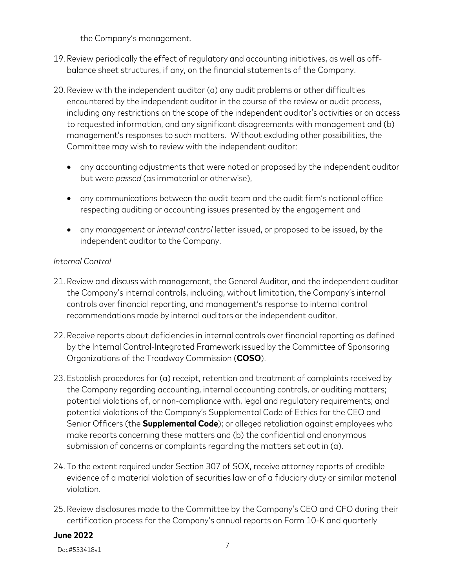the Company's management.

- 19. Review periodically the effect of regulatory and accounting initiatives, as well as offbalance sheet structures, if any, on the financial statements of the Company.
- 20. Review with the independent auditor (a) any audit problems or other difficulties encountered by the independent auditor in the course of the review or audit process, including any restrictions on the scope of the independent auditor's activities or on access to requested information, and any significant disagreements with management and (b) management's responses to such matters. Without excluding other possibilities, the Committee may wish to review with the independent auditor:
	- any accounting adjustments that were noted or proposed by the independent auditor but were *passed* (as immaterial or otherwise),
	- any communications between the audit team and the audit firm's national office respecting auditing or accounting issues presented by the engagement and
	- any *management* or *internal control* letter issued, or proposed to be issued, by the independent auditor to the Company.

### *Internal Control*

- 21. Review and discuss with management, the General Auditor, and the independent auditor the Company's internal controls, including, without limitation, the Company's internal controls over financial reporting, and management's response to internal control recommendations made by internal auditors or the independent auditor.
- 22. Receive reports about deficiencies in internal controls over financial reporting as defined by the Internal Control-Integrated Framework issued by the Committee of Sponsoring Organizations of the Treadway Commission (**COSO**).
- 23. Establish procedures for (a) receipt, retention and treatment of complaints received by the Company regarding accounting, internal accounting controls, or auditing matters; potential violations of, or non-compliance with, legal and regulatory requirements; and potential violations of the Company's Supplemental Code of Ethics for the CEO and Senior Officers (the **Supplemental Code**); or alleged retaliation against employees who make reports concerning these matters and (b) the confidential and anonymous submission of concerns or complaints regarding the matters set out in (a).
- 24. To the extent required under Section 307 of SOX, receive attorney reports of credible evidence of a material violation of securities law or of a fiduciary duty or similar material violation.
- 25. Review disclosures made to the Committee by the Company's CEO and CFO during their certification process for the Company's annual reports on Form 10-K and quarterly

#### **June 2022**